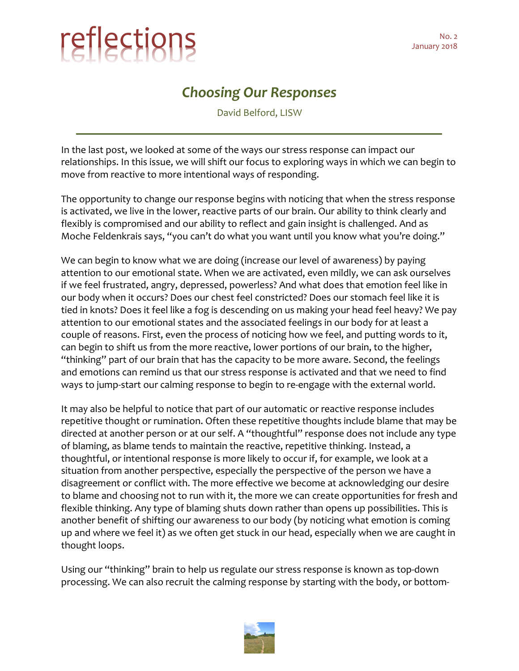## reflections January 2018

## *Choosing Our Responses*

David Belford, LISW

In the last post, we looked at some of the ways our stress response can impact our relationships. In this issue, we will shift our focus to exploring ways in which we can begin to move from reactive to more intentional ways of responding.

The opportunity to change our response begins with noticing that when the stress response is activated, we live in the lower, reactive parts of our brain. Our ability to think clearly and flexibly is compromised and our ability to reflect and gain insight is challenged. And as Moche Feldenkrais says, "you can't do what you want until you know what you're doing."

We can begin to know what we are doing (increase our level of awareness) by paying attention to our emotional state. When we are activated, even mildly, we can ask ourselves if we feel frustrated, angry, depressed, powerless? And what does that emotion feel like in our body when it occurs? Does our chest feel constricted? Does our stomach feel like it is tied in knots? Does it feel like a fog is descending on us making your head feel heavy? We pay attention to our emotional states and the associated feelings in our body for at least a couple of reasons. First, even the process of noticing how we feel, and putting words to it, can begin to shift us from the more reactive, lower portions of our brain, to the higher, "thinking" part of our brain that has the capacity to be more aware. Second, the feelings and emotions can remind us that our stress response is activated and that we need to find ways to jump-start our calming response to begin to re-engage with the external world.

It may also be helpful to notice that part of our automatic or reactive response includes repetitive thought or rumination. Often these repetitive thoughts include blame that may be directed at another person or at our self. A "thoughtful" response does not include any type of blaming, as blame tends to maintain the reactive, repetitive thinking. Instead, a thoughtful, or intentional response is more likely to occur if, for example, we look at a situation from another perspective, especially the perspective of the person we have a disagreement or conflict with. The more effective we become at acknowledging our desire to blame and choosing not to run with it, the more we can create opportunities for fresh and flexible thinking. Any type of blaming shuts down rather than opens up possibilities. This is another benefit of shifting our awareness to our body (by noticing what emotion is coming up and where we feel it) as we often get stuck in our head, especially when we are caught in thought loops.

Using our "thinking" brain to help us regulate our stress response is known as top-down processing. We can also recruit the calming response by starting with the body, or bottom-